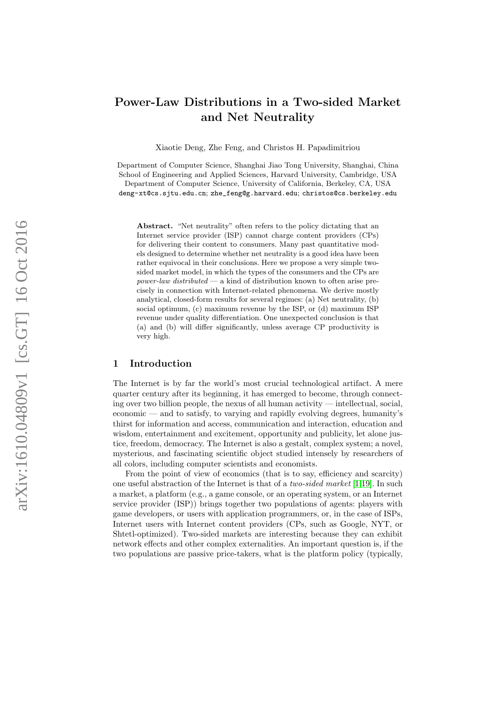# Power-Law Distributions in a Two-sided Market and Net Neutrality

Xiaotie Deng, Zhe Feng, and Christos H. Papadimitriou

Department of Computer Science, Shanghai Jiao Tong University, Shanghai, China School of Engineering and Applied Sciences, Harvard University, Cambridge, USA Department of Computer Science, University of California, Berkeley, CA, USA deng-xt@cs.sjtu.edu.cn ; zhe\_feng@g.harvard.edu ; christos@cs.berkeley.edu

Abstract. "Net neutrality" often refers to the policy dictating that an Internet service provider (ISP) cannot charge content providers (CPs) for delivering their content to consumers. Many past quantitative models designed to determine whether net neutrality is a good idea have been rather equivocal in their conclusions. Here we propose a very simple twosided market model, in which the types of the consumers and the CPs are power-law distributed — a kind of distribution known to often arise precisely in connection with Internet-related phenomena. We derive mostly analytical, closed-form results for several regimes: (a) Net neutrality, (b) social optimum, (c) maximum revenue by the ISP, or (d) maximum ISP revenue under quality differentiation. One unexpected conclusion is that (a) and (b) will differ significantly, unless average CP productivity is very high.

## 1 Introduction

The Internet is by far the world's most crucial technological artifact. A mere quarter century after its beginning, it has emerged to become, through connecting over two billion people, the nexus of all human activity — intellectual, social, economic — and to satisfy, to varying and rapidly evolving degrees, humanity's thirst for information and access, communication and interaction, education and wisdom, entertainment and excitement, opportunity and publicity, let alone justice, freedom, democracy. The Internet is also a gestalt, complex system; a novel, mysterious, and fascinating scientific object studied intensely by researchers of all colors, including computer scientists and economists.

From the point of view of economics (that is to say, efficiency and scarcity) one useful abstraction of the Internet is that of a two-sided market [\[1](#page-13-0)[,19\]](#page-13-1). In such a market, a platform (e.g., a game console, or an operating system, or an Internet service provider (ISP)) brings together two populations of agents: players with game developers, or users with application programmers, or, in the case of ISPs, Internet users with Internet content providers (CPs, such as Google, NYT, or Shtetl-optimized). Two-sided markets are interesting because they can exhibit network effects and other complex externalities. An important question is, if the two populations are passive price-takers, what is the platform policy (typically,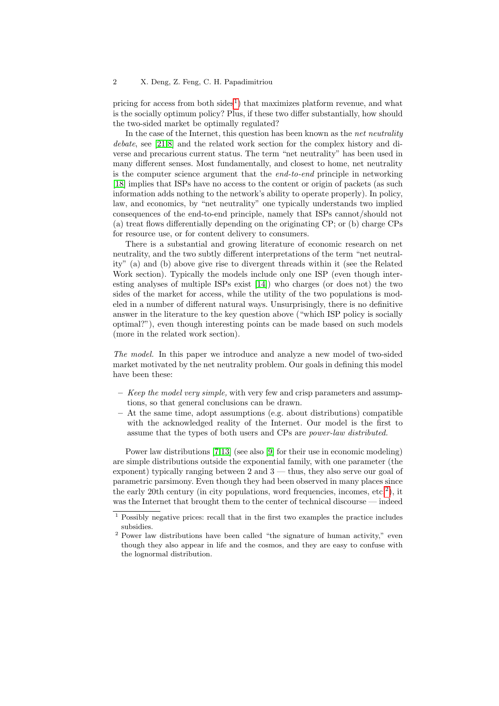pricing for access from both  $sides<sup>1</sup>$  $sides<sup>1</sup>$  $sides<sup>1</sup>$ ) that maximizes platform revenue, and what is the socially optimum policy? Plus, if these two differ substantially, how should the two-sided market be optimally regulated?

In the case of the Internet, this question has been known as the net neutrality debate, see [\[21](#page-13-2)[,8\]](#page-13-3) and the related work section for the complex history and diverse and precarious current status. The term "net neutrality" has been used in many different senses. Most fundamentally, and closest to home, net neutrality is the computer science argument that the end-to-end principle in networking [\[18\]](#page-13-4) implies that ISPs have no access to the content or origin of packets (as such information adds nothing to the network's ability to operate properly). In policy, law, and economics, by "net neutrality" one typically understands two implied consequences of the end-to-end principle, namely that ISPs cannot/should not (a) treat flows differentially depending on the originating CP; or (b) charge CPs for resource use, or for content delivery to consumers.

There is a substantial and growing literature of economic research on net neutrality, and the two subtly different interpretations of the term "net neutrality" (a) and (b) above give rise to divergent threads within it (see the Related Work section). Typically the models include only one ISP (even though interesting analyses of multiple ISPs exist [\[14\]](#page-13-5)) who charges (or does not) the two sides of the market for access, while the utility of the two populations is modeled in a number of different natural ways. Unsurprisingly, there is no definitive answer in the literature to the key question above ("which ISP policy is socially optimal?"), even though interesting points can be made based on such models (more in the related work section).

The model. In this paper we introduce and analyze a new model of two-sided market motivated by the net neutrality problem. Our goals in defining this model have been these:

- $-$  Keep the model very simple, with very few and crisp parameters and assumptions, so that general conclusions can be drawn.
- At the same time, adopt assumptions (e.g. about distributions) compatible with the acknowledged reality of the Internet. Our model is the first to assume that the types of both users and CPs are power-law distributed.

Power law distributions [\[7,](#page-13-6)[13\]](#page-13-7) (see also [\[9\]](#page-13-8) for their use in economic modeling) are simple distributions outside the exponential family, with one parameter (the exponent) typically ranging between 2 and  $3$  — thus, they also serve our goal of parametric parsimony. Even though they had been observed in many places since the early [2](#page-1-1)0th century (in city populations, word frequencies, incomes, etc.<sup>2</sup>), it was the Internet that brought them to the center of technical discourse — indeed

<span id="page-1-0"></span><sup>1</sup> Possibly negative prices: recall that in the first two examples the practice includes subsidies.

<span id="page-1-1"></span><sup>&</sup>lt;sup>2</sup> Power law distributions have been called "the signature of human activity," even though they also appear in life and the cosmos, and they are easy to confuse with the lognormal distribution.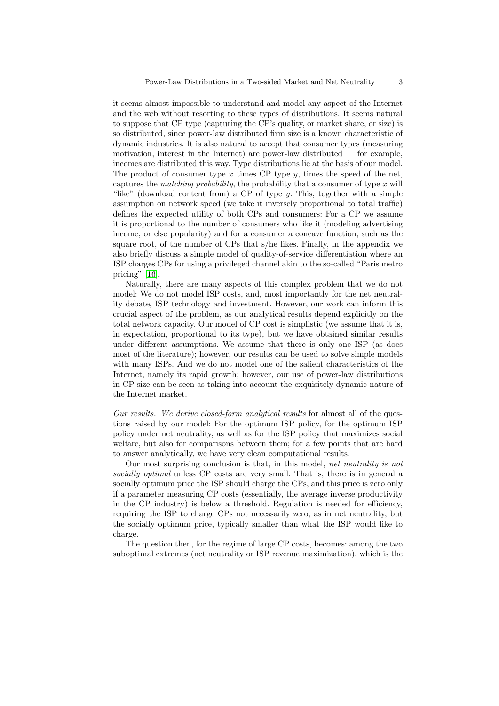it seems almost impossible to understand and model any aspect of the Internet and the web without resorting to these types of distributions. It seems natural to suppose that CP type (capturing the CP's quality, or market share, or size) is so distributed, since power-law distributed firm size is a known characteristic of dynamic industries. It is also natural to accept that consumer types (measuring motivation, interest in the Internet) are power-law distributed  $-$  for example, incomes are distributed this way. Type distributions lie at the basis of our model. The product of consumer type x times CP type  $y$ , times the speed of the net, captures the *matching probability*, the probability that a consumer of type  $x$  will "like" (download content from) a CP of type y. This, together with a simple assumption on network speed (we take it inversely proportional to total traffic) defines the expected utility of both CPs and consumers: For a CP we assume it is proportional to the number of consumers who like it (modeling advertising income, or else popularity) and for a consumer a concave function, such as the square root, of the number of CPs that s/he likes. Finally, in the appendix we also briefly discuss a simple model of quality-of-service differentiation where an ISP charges CPs for using a privileged channel akin to the so-called "Paris metro pricing" [\[16\]](#page-13-9).

Naturally, there are many aspects of this complex problem that we do not model: We do not model ISP costs, and, most importantly for the net neutrality debate, ISP technology and investment. However, our work can inform this crucial aspect of the problem, as our analytical results depend explicitly on the total network capacity. Our model of CP cost is simplistic (we assume that it is, in expectation, proportional to its type), but we have obtained similar results under different assumptions. We assume that there is only one ISP (as does most of the literature); however, our results can be used to solve simple models with many ISPs. And we do not model one of the salient characteristics of the Internet, namely its rapid growth; however, our use of power-law distributions in CP size can be seen as taking into account the exquisitely dynamic nature of the Internet market.

Our results. We derive closed-form analytical results for almost all of the questions raised by our model: For the optimum ISP policy, for the optimum ISP policy under net neutrality, as well as for the ISP policy that maximizes social welfare, but also for comparisons between them; for a few points that are hard to answer analytically, we have very clean computational results.

Our most surprising conclusion is that, in this model, net neutrality is not socially optimal unless CP costs are very small. That is, there is in general a socially optimum price the ISP should charge the CPs, and this price is zero only if a parameter measuring CP costs (essentially, the average inverse productivity in the CP industry) is below a threshold. Regulation is needed for efficiency, requiring the ISP to charge CPs not necessarily zero, as in net neutrality, but the socially optimum price, typically smaller than what the ISP would like to charge.

The question then, for the regime of large CP costs, becomes: among the two suboptimal extremes (net neutrality or ISP revenue maximization), which is the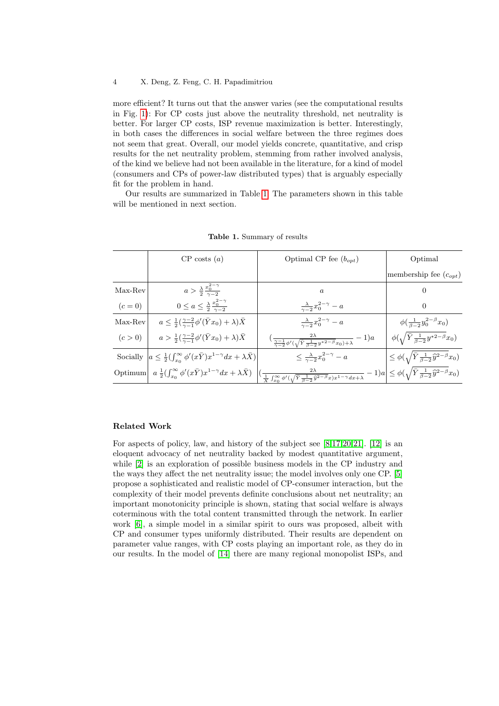more efficient? It turns out that the answer varies (see the computational results in Fig. [1\)](#page-11-0): For CP costs just above the neutrality threshold, net neutrality is better. For larger CP costs, ISP revenue maximization is better. Interestingly, in both cases the differences in social welfare between the three regimes does not seem that great. Overall, our model yields concrete, quantitative, and crisp results for the net neutrality problem, stemming from rather involved analysis, of the kind we believe had not been available in the literature, for a kind of model (consumers and CPs of power-law distributed types) that is arguably especially fit for the problem in hand.

Our results are summarized in Table [1.](#page-3-0) The parameters shown in this table will be mentioned in next section.

|           | $CP \text{ costs } (a)$                                                                                                       | Optimal CP fee $(b_{opt})$                                                                                                                 | Optimal                                                                  |
|-----------|-------------------------------------------------------------------------------------------------------------------------------|--------------------------------------------------------------------------------------------------------------------------------------------|--------------------------------------------------------------------------|
|           |                                                                                                                               |                                                                                                                                            | membership fee $(c_{opt})$                                               |
| Max-Rev   | $a > \frac{\lambda}{2} \frac{x_0^{2-\gamma}}{x_0-2}$                                                                          | $\boldsymbol{a}$                                                                                                                           | 0                                                                        |
| $(c=0)$   | $0 \le a \le \frac{\lambda}{2} \frac{x_0^{2-\gamma}}{\gamma-2}$                                                               | $\frac{\lambda}{\gamma-2}x_0^{2-\gamma}-a$                                                                                                 | 0                                                                        |
| $Max-Rev$ | $a\leq \frac{1}{2}(\frac{\gamma-2}{\gamma-1}\phi'(\bar{Y}x_0)+\lambda)\bar{X}$                                                | $\frac{\lambda}{\gamma-2}x_0^{2-\gamma}-a$                                                                                                 | $\phi(\frac{1}{\beta-2}y_0^{2-\beta}x_0)$                                |
| (c > 0)   | $a > \frac{1}{2}(\frac{\gamma-2}{\gamma-1}\phi'(\bar{Y}x_0) + \lambda)\bar{X}$                                                | $\left(\frac{2\lambda}{\frac{\gamma-1}{\gamma-2}\phi'(\sqrt{\bar{Y}}\frac{1}{\beta-2}y^{*2-\beta}x_0)+\lambda}\right)$<br>$-1$ )a          | $\phi(\sqrt{Y}\frac{1}{\beta-2}y^{*2-\beta}x_0)$                         |
|           | Socially $a \leq \frac{1}{2} \left( \int_{x_0}^{\infty} \phi'(x \overline{Y}) x^{1-\gamma} dx + \lambda \overline{X} \right)$ | $\leq \frac{\lambda}{\gamma-2}x_0^{2-\gamma}-a$                                                                                            | $\leq \phi(\sqrt{Y} \frac{1}{\beta-2} \widehat{y}^{2-\beta} x_0)$        |
|           | Optimum $a \frac{1}{2} (\int_{x_0}^{\infty} \phi'(x \overline{Y}) x^{1-\gamma} dx + \lambda \overline{X})$                    | $\Big(\frac{2\lambda}{\frac{1}{\bar{x}}\int_{x_0}^{\infty}\phi'(\sqrt{\bar{Y}}\frac{1}{\beta-2}\hat{y}^{2-\beta}x)x^{1-\gamma}dx+\lambda}$ | $1)a\Big \leq \phi(\sqrt{\bar{Y}\frac{1}{\beta-2}\hat{y}^{2-\beta}}x_0)$ |

<span id="page-3-0"></span>Table 1. Summary of results

#### Related Work

For aspects of policy, law, and history of the subject see [\[8](#page-13-3)[,17,](#page-13-10)[20,](#page-13-11)[21\]](#page-13-2). [\[12\]](#page-13-12) is an eloquent advocacy of net neutrality backed by modest quantitative argument, while [\[2\]](#page-13-13) is an exploration of possible business models in the CP industry and the ways they affect the net neutrality issue; the model involves only one CP. [\[5\]](#page-13-14) propose a sophisticated and realistic model of CP-consumer interaction, but the complexity of their model prevents definite conclusions about net neutrality; an important monotonicity principle is shown, stating that social welfare is always coterminous with the total content transmitted through the network. In earlier work [\[6\]](#page-13-15), a simple model in a similar spirit to ours was proposed, albeit with CP and consumer types uniformly distributed. Their results are dependent on parameter value ranges, with CP costs playing an important role, as they do in our results. In the model of [\[14\]](#page-13-5) there are many regional monopolist ISPs, and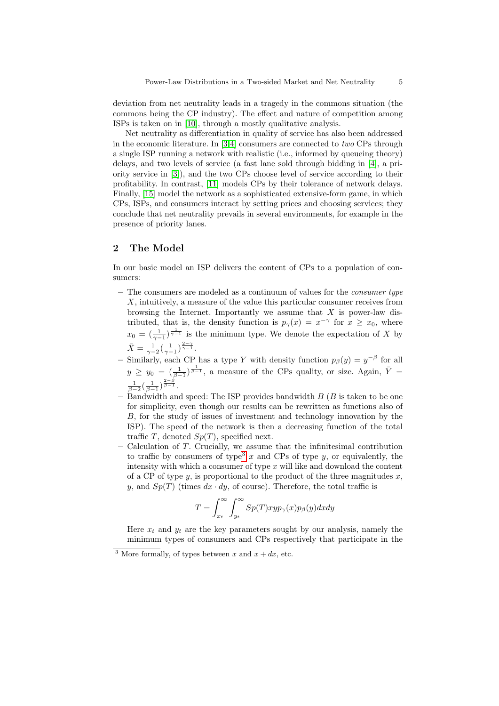deviation from net neutrality leads in a tragedy in the commons situation (the commons being the CP industry). The effect and nature of competition among ISPs is taken on in [\[10\]](#page-13-16), through a mostly qualitative analysis.

Net neutrality as differentiation in quality of service has also been addressed in the economic literature. In [\[3,](#page-13-17)[4\]](#page-13-18) consumers are connected to two CPs through a single ISP running a network with realistic (i.e., informed by queueing theory) delays, and two levels of service (a fast lane sold through bidding in [\[4\]](#page-13-18), a priority service in [\[3\]](#page-13-17)), and the two CPs choose level of service according to their profitability. In contrast, [\[11\]](#page-13-19) models CPs by their tolerance of network delays. Finally, [\[15\]](#page-13-20) model the network as a sophisticated extensive-form game, in which CPs, ISPs, and consumers interact by setting prices and choosing services; they conclude that net neutrality prevails in several environments, for example in the presence of priority lanes.

#### 2 The Model

In our basic model an ISP delivers the content of CPs to a population of consumers:

- $-$  The consumers are modeled as a continuum of values for the *consumer type*  $X$ , intuitively, a measure of the value this particular consumer receives from browsing the Internet. Importantly we assume that  $X$  is power-law distributed, that is, the density function is  $p_{\gamma}(x) = x^{-\gamma}$  for  $x \geq x_0$ , where  $x_0 = \left(\frac{1}{\gamma-1}\right)^{\frac{1}{\gamma-1}}$  is the minimum type. We denote the expectation of X by  $\bar{X} = \frac{1}{\gamma - 2} (\frac{1}{\gamma - 1})^{\frac{2 - \gamma}{\gamma - 1}}.$
- Similarly, each CP has a type Y with density function  $p_\beta(y) = y$ −β for all  $y \ge y_0 = \left(\frac{1}{\beta-1}\right)^{\frac{1}{\beta-1}},$  a measure of the CPs quality, or size. Again,  $\bar{Y} =$  $\frac{1}{\beta-2} \left( \frac{1}{\beta-1} \right)^{\frac{2-\beta}{\beta-1}}$ .
- Bandwidth and speed: The ISP provides bandwidth  $B(B)$  is taken to be one for simplicity, even though our results can be rewritten as functions also of B, for the study of issues of investment and technology innovation by the ISP). The speed of the network is then a decreasing function of the total traffic T, denoted  $Sp(T)$ , specified next.
- Calculation of T. Crucially, we assume that the infinitesimal contribution to traffic by consumers of type<sup>[3](#page-4-0)</sup> x and CPs of type y, or equivalently, the intensity with which a consumer of type  $x$  will like and download the content of a CP of type  $y$ , is proportional to the product of the three magnitudes  $x$ , y, and  $Sp(T)$  (times  $dx \cdot dy$ , of course). Therefore, the total traffic is

$$
T = \int_{x_t}^{\infty} \int_{y_t}^{\infty} Sp(T)xy p_{\gamma}(x) p_{\beta}(y) dx dy
$$

Here  $x_t$  and  $y_t$  are the key parameters sought by our analysis, namely the minimum types of consumers and CPs respectively that participate in the

<span id="page-4-0"></span><sup>&</sup>lt;sup>3</sup> More formally, of types between x and  $x + dx$ , etc.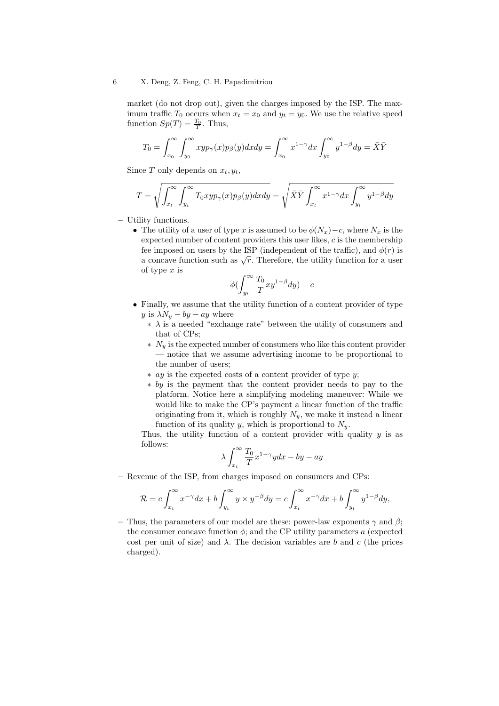market (do not drop out), given the charges imposed by the ISP. The maximum traffic  $T_0$  occurs when  $x_t = x_0$  and  $y_t = y_0$ . We use the relative speed function  $Sp(T) = \frac{T_0}{T}$ . Thus,

$$
T_0 = \int_{x_0}^{\infty} \int_{y_0}^{\infty} x y p_{\gamma}(x) p_{\beta}(y) dx dy = \int_{x_0}^{\infty} x^{1-\gamma} dx \int_{y_0}^{\infty} y^{1-\beta} dy = \overline{X} \overline{Y}
$$

Since T only depends on  $x_t, y_t$ ,

$$
T = \sqrt{\int_{x_t}^{\infty} \int_{y_t}^{\infty} T_0 x y p_{\gamma}(x) p_{\beta}(y) dx dy} = \sqrt{\bar{X} \bar{Y} \int_{x_t}^{\infty} x^{1-\gamma} dx \int_{y_t}^{\infty} y^{1-\beta} dy}
$$

– Utility functions.

• The utility of a user of type x is assumed to be  $\phi(N_x)-c$ , where  $N_x$  is the expected number of content providers this user likes,  $c$  is the membership fee imposed on users by the ISP (independent of the traffic), and  $\phi(r)$  is a concave function such as  $\sqrt{r}$ . Therefore, the utility function for a user of type  $x$  is

$$
\phi(\int_{y_t}^{\infty} \frac{T_0}{T} xy^{1-\beta} dy) - c
$$

- Finally, we assume that the utility function of a content provider of type y is  $\lambda N_y - by - ay$  where
	- $*$   $\lambda$  is a needed "exchange rate" between the utility of consumers and that of CPs;
	- $* N_y$  is the expected number of consumers who like this content provider — notice that we assume advertising income to be proportional to the number of users;
	- ∗ ay is the expected costs of a content provider of type y;
	- ∗ by is the payment that the content provider needs to pay to the platform. Notice here a simplifying modeling maneuver: While we would like to make the CP's payment a linear function of the traffic originating from it, which is roughly  $N_y$ , we make it instead a linear function of its quality y, which is proportional to  $N_y$ .

Thus, the utility function of a content provider with quality  $y$  is as follows:

$$
\lambda \int_{x_t}^{\infty} \frac{T_0}{T} x^{1-\gamma} y dx - by - ay
$$

– Revenue of the ISP, from charges imposed on consumers and CPs:

$$
\mathcal{R} = c \int_{x_t}^{\infty} x^{-\gamma} dx + b \int_{y_t}^{\infty} y \times y^{-\beta} dy = c \int_{x_t}^{\infty} x^{-\gamma} dx + b \int_{y_t}^{\infty} y^{1-\beta} dy,
$$

– Thus, the parameters of our model are these: power-law exponents  $\gamma$  and  $\beta$ ; the consumer concave function  $\phi$ ; and the CP utility parameters a (expected cost per unit of size) and  $\lambda$ . The decision variables are b and c (the prices charged).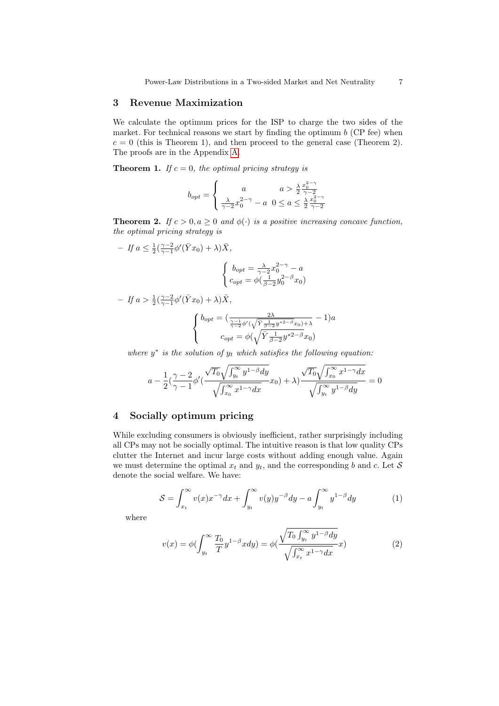#### 3 Revenue Maximization

We calculate the optimum prices for the ISP to charge the two sides of the market. For technical reasons we start by finding the optimum  $b$  (CP fee) when  $c = 0$  (this is Theorem 1), and then proceed to the general case (Theorem 2). The proofs are in the Appendix [A.](#page-14-0)

**Theorem 1.** If  $c = 0$ , the optimal pricing strategy is

$$
b_{opt} = \begin{cases} a & a > \frac{\lambda}{2} \frac{x_0^{2-\gamma}}{\gamma - 2} \\ \frac{\lambda}{\gamma - 2} x_0^{2-\gamma} - a & 0 \le a \le \frac{\lambda}{2} \frac{x_0^{2-\gamma}}{\gamma - 2} \end{cases}
$$

<span id="page-6-1"></span>**Theorem 2.** If  $c > 0, a \ge 0$  and  $\phi(\cdot)$  is a positive increasing concave function, the optimal pricing strategy is

$$
- If a \leq \frac{1}{2} \left( \frac{\gamma - 2}{\gamma - 1} \phi'(\bar{Y}x_0) + \lambda \right) \bar{X},
$$
  

$$
\begin{cases} \nb_{opt} = \frac{\lambda}{\gamma - 2} x_0^{2 - \gamma} - a \\ c_{opt} = \phi \left( \frac{1}{\beta - 2} y_0^{2 - \beta} x_0 \right) \end{cases}
$$
  

$$
- If a > \frac{1}{2} \left( \frac{\gamma - 2}{\gamma - 1} \phi'(\bar{Y}x_0) + \lambda \right) \bar{X},
$$
  

$$
\begin{cases} \nb_{opt} = \left( \frac{2\lambda}{\gamma - 2} \phi'(\sqrt{\bar{Y}x_0}) + \lambda \right) - 1 \right) a \\ c_{opt} = \phi \left( \sqrt{\bar{Y}x_0} \right) \end{cases}
$$

where  $y^*$  is the solution of  $y_t$  which satisfies the following equation:

$$
a - \frac{1}{2} \left(\frac{\gamma - 2}{\gamma - 1} \phi' \left( \frac{\sqrt{T_0} \sqrt{\int_{y_t}^{\infty} y^{1 - \beta} dy}}{\sqrt{\int_{x_0}^{\infty} x^{1 - \gamma} dx}} x_0 \right) + \lambda \right) \frac{\sqrt{T_0} \sqrt{\int_{x_0}^{\infty} x^{1 - \gamma} dx}}{\sqrt{\int_{y_t}^{\infty} y^{1 - \beta} dy}} = 0
$$

#### 4 Socially optimum pricing

While excluding consumers is obviously inefficient, rather surprisingly including all CPs may not be socially optimal. The intuitive reason is that low quality CPs clutter the Internet and incur large costs without adding enough value. Again we must determine the optimal  $x_t$  and  $y_t$ , and the corresponding b and c. Let S denote the social welfare. We have:

<span id="page-6-0"></span>
$$
S = \int_{x_t}^{\infty} v(x)x^{-\gamma}dx + \int_{y_t}^{\infty} v(y)y^{-\beta}dy - a \int_{y_t}^{\infty} y^{1-\beta}dy \tag{1}
$$

where

$$
v(x) = \phi \left(\int_{y_t}^{\infty} \frac{T_0}{T} y^{1-\beta} x dy\right) = \phi \left(\frac{\sqrt{T_0 \int_{y_t}^{\infty} y^{1-\beta} dy}}{\sqrt{\int_{x_t}^{\infty} x^{1-\gamma} dx}} x\right)
$$
(2)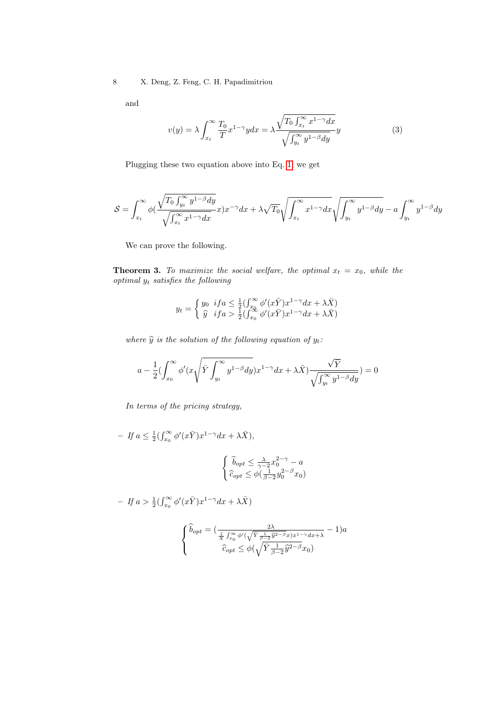and

$$
v(y) = \lambda \int_{x_t}^{\infty} \frac{T_0}{T} x^{1-\gamma} y dx = \lambda \frac{\sqrt{T_0 \int_{x_t}^{\infty} x^{1-\gamma} dx}}{\sqrt{\int_{y_t}^{\infty} y^{1-\beta} dy}} y
$$
(3)

Plugging these two equation above into Eq. [1,](#page-6-0) we get

$$
\mathcal{S} = \int_{x_t}^{\infty} \phi \left( \frac{\sqrt{T_0 \int_{y_t}^{\infty} y^{1-\beta} dy}}{\sqrt{\int_{x_t}^{\infty} x^{1-\gamma} dx}} x \right) x^{-\gamma} dx + \lambda \sqrt{T_0} \sqrt{\int_{x_t}^{\infty} x^{1-\gamma} dx} \sqrt{\int_{y_t}^{\infty} y^{1-\beta} dy} - a \int_{y_t}^{\infty} y^{1-\beta} dy
$$

We can prove the following.

**Theorem 3.** To maximize the social welfare, the optimal  $x_t = x_0$ , while the  $optimal$   $y_t$  satisfies the following

$$
y_t = \begin{cases} y_0 & \text{if } a \leq \frac{1}{2} \left( \int_{x_0}^{\infty} \phi'(x \bar{Y}) x^{1-\gamma} dx + \lambda \bar{X} \right) \\ \widehat{y} & \text{if } a > \frac{1}{2} \left( \int_{x_0}^{\infty} \phi'(x \bar{Y}) x^{1-\gamma} dx + \lambda \bar{X} \right) \end{cases}
$$

where  $\hat{y}$  is the solution of the following equation of  $y_t$ :

$$
a - \frac{1}{2} \left( \int_{x_0}^{\infty} \phi'(x \sqrt{\bar{Y} \int_{y_t}^{\infty} y^{1-\beta} dy}) x^{1-\gamma} dx + \lambda \bar{X} \right) \frac{\sqrt{\bar{Y}}}{\sqrt{\int_{y_t}^{\infty} y^{1-\beta} dy}} = 0
$$

In terms of the pricing strategy,

$$
- If a \leq \frac{1}{2} \left( \int_{x_0}^{\infty} \phi'(x \bar{Y}) x^{1-\gamma} dx + \lambda \bar{X} \right),
$$

$$
\left\{\begin{array}{l} \widehat{b}_{opt}\leq\frac{\lambda}{\gamma-2}x_0^{2-\gamma}-a\\ \widehat{c}_{opt}\leq\phi(\frac{1}{\beta-2}y_0^{2-\beta}x_0)\end{array}\right.
$$

 $-If a > \frac{1}{2} (\int_{x_0}^{\infty} \phi'(x\overline{Y}) x^{1-\gamma} dx + \lambda \overline{X})$ 

$$
\begin{cases} \hat{b}_{opt} = (\frac{2\lambda}{\frac{1}{X} \int_{x_0}^{\infty} \phi'(\sqrt{\bar{Y}_{\beta-2}^{-\beta}} \hat{y}^{2-\beta} x) x^{1-\gamma} dx + \lambda} - 1)a \\ \hat{c}_{opt} \leq \phi(\sqrt{\bar{Y}_{\beta-2}^{-\beta}} \hat{y}^{2-\beta} x_0) \end{cases}
$$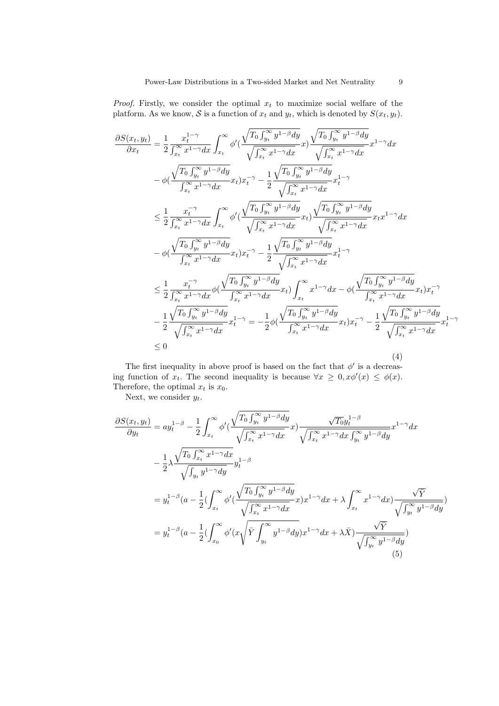*Proof.* Firstly, we consider the optimal  $x_t$  to maximize social welfare of the platform. As we know,  $S$  is a function of  $x_t$  and  $y_t$ , which is denoted by  $S(x_t, y_t)$ .

$$
\frac{\partial S(x_t, y_t)}{\partial x_t} = \frac{1}{2} \frac{x_t^{1-\gamma}}{\int_{x_t}^{\infty} x^{1-\gamma} dx} \int_{x_t}^{\infty} \phi'(\frac{\sqrt{T_0 \int_{y_t}^{\infty} y^{1-\beta} dy}}{\sqrt{\int_{x_t}^{\infty} x^{1-\gamma} dx}} x) \frac{\sqrt{T_0 \int_{y_t}^{\infty} y^{1-\beta} dy}}{\sqrt{\int_{x_t}^{\infty} x^{1-\gamma} dx}} x^{1-\gamma} dx
$$
\n
$$
- \phi(\frac{\sqrt{T_0 \int_{y_t}^{\infty} y^{1-\beta} dy}}{\int_{x_t}^{\infty} x^{1-\gamma} dx} x_t) x_t^{-\gamma} - \frac{1}{2} \frac{\sqrt{T_0 \int_{y_t}^{\infty} y^{1-\beta} dy}}{\sqrt{\int_{x_t}^{\infty} x^{1-\gamma} dx}} x_t^{1-\gamma}
$$
\n
$$
\leq \frac{1}{2} \frac{x_t^{-\gamma}}{\int_{x_t}^{\infty} x^{1-\gamma} dx} \int_{x_t}^{\infty} \phi'(\frac{\sqrt{T_0 \int_{y_t}^{\infty} y^{1-\beta} dy}}{\sqrt{\int_{x_t}^{\infty} x^{1-\gamma} dx}} x_t) \frac{\sqrt{T_0 \int_{y_t}^{\infty} y^{1-\beta} dy}}{\sqrt{\int_{x_t}^{\infty} x^{1-\gamma} dx}} x_t x^{1-\gamma} dx
$$
\n
$$
- \phi(\frac{\sqrt{T_0 \int_{y_t}^{\infty} y^{1-\beta} dy}}{\int_{x_t}^{\infty} x^{1-\gamma} dx} x_t) x_t^{-\gamma} - \frac{1}{2} \frac{\sqrt{T_0 \int_{y_t}^{\infty} y^{1-\beta} dy}}{\sqrt{\int_{x_t}^{\infty} x^{1-\gamma} dx}} x_t^{1-\gamma}
$$
\n
$$
\leq \frac{1}{2} \frac{x_t^{-\gamma}}{\int_{x_t}^{\infty} x^{1-\gamma} dx} \phi(\frac{\sqrt{T_0 \int_{y_t}^{\infty} y^{1-\beta} dy}}{\int_{x_t}^{\infty} x^{1-\gamma} dx} x_t) \int_{x_t}^{\infty} x^{1-\gamma} dx - \phi(\frac{\sqrt{T_0 \int_{y_t}^{\infty} y^{1-\beta} dy}}{\int_{x_t}^{\infty} x^{1-\gamma} dx} x_t) x_t^{-\
$$

The first inequality in above proof is based on the fact that  $\phi'$  is a decreasing function of  $x_t$ . The second inequality is because  $\forall x \geq 0, x\phi'(x) \leq \phi(x)$ . Therefore, the optimal  $x_t$  is  $x_0$ .

Next, we consider  $y_t$ .

<span id="page-8-0"></span>
$$
\frac{\partial S(x_t, y_t)}{\partial y_t} = ay_t^{1-\beta} - \frac{1}{2} \int_{x_t}^{\infty} \phi' \left( \frac{\sqrt{T_0 \int_{y_t}^{\infty} y^{1-\beta} dy}}{\sqrt{\int_{x_t}^{\infty} x^{1-\gamma} dx}} x \right) \frac{\sqrt{T_0} y_t^{1-\beta}}{\sqrt{\int_{x_t}^{\infty} x^{1-\gamma} dx} \int_{y_t}^{\infty} y^{1-\beta} dy} x^{1-\gamma} dx
$$
  

$$
- \frac{1}{2} \lambda \frac{\sqrt{T_0 \int_{x_t}^{\infty} y^{1-\gamma} dy}}{\sqrt{\int_{y_t}^{\infty} y^{1-\gamma} dy}} y_t^{1-\beta}
$$
  

$$
= y_t^{1-\beta} (a - \frac{1}{2} (\int_{x_t}^{\infty} \phi' (\frac{\sqrt{T_0 \int_{y_t}^{\infty} y^{1-\beta} dy}}{\sqrt{\int_{x_t}^{\infty} x^{1-\gamma} dx}} x) x^{1-\gamma} dx + \lambda \int_{x_t}^{\infty} x^{1-\gamma} dx) \frac{\sqrt{\overline{Y}}}{\sqrt{\int_{y_t}^{\infty} y^{1-\beta} dy}}
$$
  

$$
= y_t^{1-\beta} (a - \frac{1}{2} (\int_{x_0}^{\infty} \phi'(x \sqrt{\overline{Y} \int_{y_t}^{\infty} y^{1-\beta} dy}) x^{1-\gamma} dx + \lambda \overline{X}) \frac{\sqrt{\overline{Y}}}{\sqrt{\int_{y_t}^{\infty} y^{1-\beta} dy}}
$$
  
(5)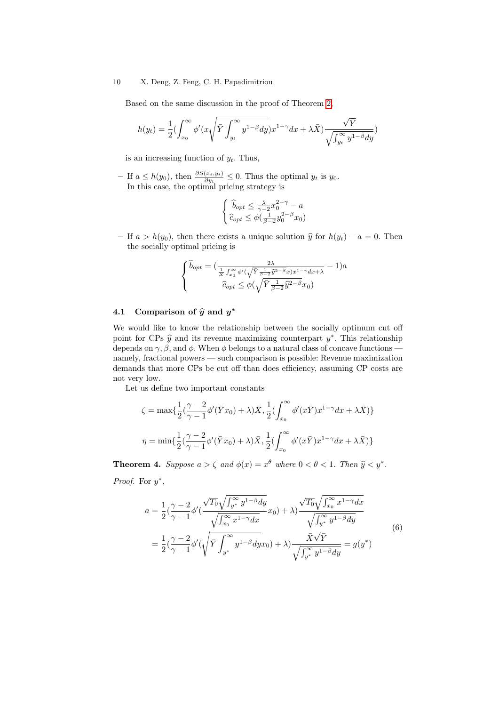Based on the same discussion in the proof of Theorem [2,](#page-6-1)

$$
h(y_t) = \frac{1}{2} \left( \int_{x_0}^{\infty} \phi'(x \sqrt{\overline{Y} \int_{y_t}^{\infty} y^{1-\beta} dy} \right) x^{1-\gamma} dx + \lambda \overline{X} \right) \frac{\sqrt{\overline{Y}}}{\sqrt{\int_{y_t}^{\infty} y^{1-\beta} dy}}
$$

is an increasing function of  $y_t$ . Thus,

 $-\operatorname{If} a \leq h(y_0)$ , then  $\frac{\partial S(x_t, y_t)}{\partial y_t} \leq 0$ . Thus the optimal  $y_t$  is  $y_0$ . In this case, the optimal pricing strategy is

$$
\begin{cases} \hat{b}_{opt} \le \frac{\lambda}{\gamma - 2} x_0^{2 - \gamma} - a \\ \hat{c}_{opt} \le \phi \left( \frac{1}{\beta - 2} y_0^{2 - \beta} x_0 \right) \end{cases}
$$

– If  $a > h(y_0)$ , then there exists a unique solution  $\hat{y}$  for  $h(y_t) - a = 0$ . Then the socially optimal pricing is

$$
\begin{cases}\n\hat{b}_{opt} = \left(\frac{2\lambda}{\frac{1}{X}\int_{x_0}^{\infty} \phi'(\sqrt{Y} \frac{1}{\beta - 2}\hat{y}^{2-\beta}x)x^{1-\gamma}dx + \lambda} - 1\right)a \\
\hat{c}_{opt} \leq \phi(\sqrt{Y} \frac{1}{\beta - 2}\hat{y}^{2-\beta}x_0)\n\end{cases}
$$

# 4.1 Comparison of  $\hat{y}$  and  $y^*$

We would like to know the relationship between the socially optimum cut off point for CPs  $\hat{y}$  and its revenue maximizing counterpart  $y^*$ . This relationship depends on  $\gamma$ ,  $\beta$ , and  $\phi$ . When  $\phi$  belongs to a natural class of concave functions namely, fractional powers — such comparison is possible: Revenue maximization demands that more CPs be cut off than does efficiency, assuming CP costs are not very low.

Let us define two important constants

$$
\zeta = \max\{\frac{1}{2}(\frac{\gamma - 2}{\gamma - 1}\phi'(\bar{Y}x_0) + \lambda)\bar{X}, \frac{1}{2}(\int_{x_0}^{\infty}\phi'(x\bar{Y})x^{1-\gamma}dx + \lambda\bar{X})\}
$$
  

$$
\eta = \min\{\frac{1}{2}(\frac{\gamma - 2}{\gamma - 1}\phi'(\bar{Y}x_0) + \lambda)\bar{X}, \frac{1}{2}(\int_{x_0}^{\infty}\phi'(x\bar{Y})x^{1-\gamma}dx + \lambda\bar{X})\}
$$

<span id="page-9-1"></span>**Theorem 4.** Suppose  $a > \zeta$  and  $\phi(x) = x^{\theta}$  where  $0 < \theta < 1$ . Then  $\widehat{y} < y^*$ .

Proof. For  $y^*$ ,

<span id="page-9-0"></span>
$$
a = \frac{1}{2} \left( \frac{\gamma - 2}{\gamma - 1} \phi' \left( \frac{\sqrt{T_0} \sqrt{\int_{y^*}^{\infty} y^{1 - \beta} dy}}{\sqrt{\int_{x_0}^{\infty} x^{1 - \gamma} dx}} x_0 \right) + \lambda \right) \frac{\sqrt{T_0} \sqrt{\int_{x_0}^{\infty} x^{1 - \gamma} dx}}{\sqrt{\int_{y^*}^{\infty} y^{1 - \beta} dy}} = \frac{1}{2} \left( \frac{\gamma - 2}{\gamma - 1} \phi' \left( \sqrt{\bar{Y} \int_{y^*}^{\infty} y^{1 - \beta} dy} x_0 \right) + \lambda \right) \frac{\bar{X} \sqrt{\bar{Y}}}{\sqrt{\int_{y^*}^{\infty} y^{1 - \beta} dy}} = g(y^*)
$$
(6)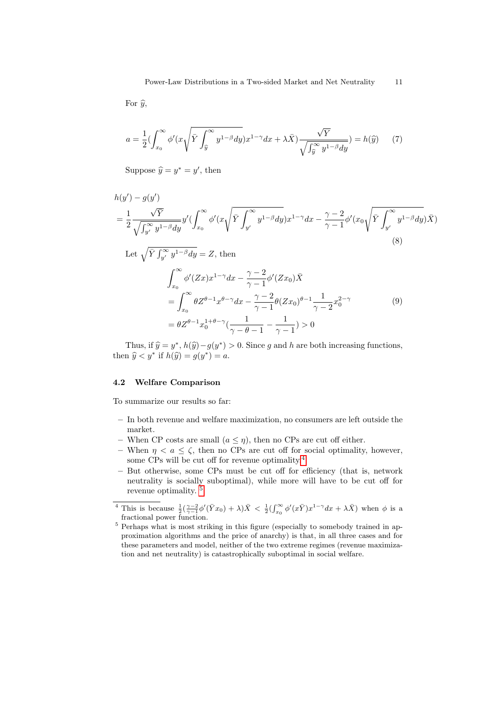For 
$$
\hat{y}
$$
,

$$
a = \frac{1}{2} \left( \int_{x_0}^{\infty} \phi'(x \sqrt{\bar{Y} \int_{\hat{y}}^{\infty} y^{1-\beta} dy}) x^{1-\gamma} dx + \lambda \bar{X} \right) \frac{\sqrt{\bar{Y}}}{\sqrt{\int_{\hat{y}}^{\infty} y^{1-\beta} dy}} = h(\hat{y}) \tag{7}
$$

Suppose  $\hat{y} = y^* = y'$ , then

$$
h(y') - g(y')
$$
  
=  $\frac{1}{2} \frac{\sqrt{Y}}{\sqrt{\int_{y'}^{\infty} y^{1-\beta} dy}} y'(\int_{x_0}^{\infty} \phi'(x \sqrt{\bar{Y}} \int_{y'}^{\infty} y^{1-\beta} dy) x^{1-\gamma} dx - \frac{\gamma-2}{\gamma-1} \phi'(x_0 \sqrt{\bar{Y}} \int_{y'}^{\infty} y^{1-\beta} dy) \bar{X})$   
Let  $\sqrt{\bar{Y}} \int_{y'}^{\infty} y^{1-\beta} dy = Z$ , then (8)

$$
\int_{x_0}^{\infty} \phi'(Zx) x^{1-\gamma} dx - \frac{\gamma - 2}{\gamma - 1} \phi'(Zx_0) \bar{X}
$$
  
= 
$$
\int_{x_0}^{\infty} \theta Z^{\theta - 1} x^{\theta - \gamma} dx - \frac{\gamma - 2}{\gamma - 1} \theta(Zx_0)^{\theta - 1} \frac{1}{\gamma - 2} x_0^{2 - \gamma}
$$
  
= 
$$
\theta Z^{\theta - 1} x_0^{1 + \theta - \gamma} \left( \frac{1}{\gamma - \theta - 1} - \frac{1}{\gamma - 1} \right) > 0
$$
 (9)

Thus, if  $\hat{y} = y^*, h(\hat{y}) - g(y^*) > 0$ . Since g and h are both increasing functions, then  $\hat{y} < y^*$  if  $h(\hat{y}) = g(y^*) = a$ .

#### 4.2 Welfare Comparison

To summarize our results so far:

- In both revenue and welfare maximization, no consumers are left outside the market.
- When CP costs are small  $(a \leq \eta)$ , then no CPs are cut off either.
- When  $\eta < a \leq \zeta$ , then no CPs are cut off for social optimality, however, some CPs will be cut off for revenue optimality.[4](#page-10-0)
- But otherwise, some CPs must be cut off for efficiency (that is, network neutrality is socially suboptimal), while more will have to be cut off for revenue optimality. [5](#page-10-1)

<span id="page-10-0"></span><sup>&</sup>lt;sup>4</sup> This is because  $\frac{1}{2}(\frac{\gamma-2}{\gamma-1}\phi'(\bar{Y}x_0)+\lambda)\bar{X}<\frac{1}{2}(\int_{x_0}^{\infty}\phi'(x\bar{Y})x^{1-\gamma}dx+\lambda\bar{X})$  when  $\phi$  is a fractional power function.

<span id="page-10-1"></span><sup>5</sup> Perhaps what is most striking in this figure (especially to somebody trained in approximation algorithms and the price of anarchy) is that, in all three cases and for these parameters and model, neither of the two extreme regimes (revenue maximization and net neutrality) is catastrophically suboptimal in social welfare.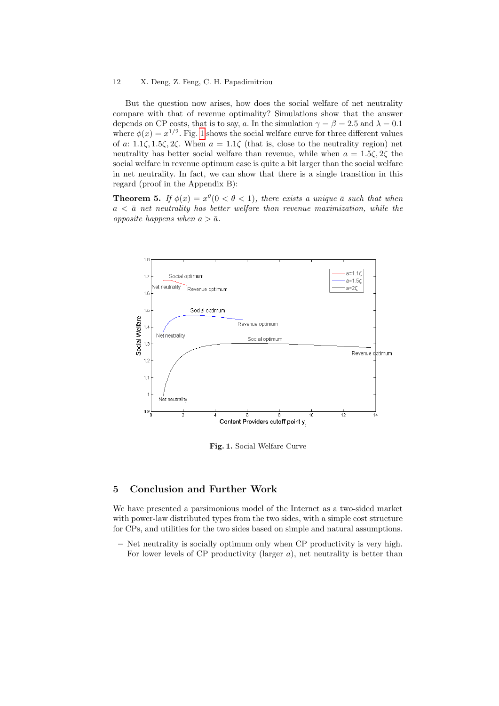But the question now arises, how does the social welfare of net neutrality compare with that of revenue optimality? Simulations show that the answer depends on CP costs, that is to say, a. In the simulation  $\gamma = \beta = 2.5$  and  $\lambda = 0.1$ where  $\phi(x) = x^{1/2}$ . Fig. [1](#page-11-0) shows the social welfare curve for three different values of a: 1.1 $\zeta$ , 1.5 $\zeta$ , 2 $\zeta$ . When  $a = 1.1\zeta$  (that is, close to the neutrality region) net neutrality has better social welfare than revenue, while when  $a = 1.5\zeta, 2\zeta$  the social welfare in revenue optimum case is quite a bit larger than the social welfare in net neutrality. In fact, we can show that there is a single transition in this regard (proof in the Appendix B):

**Theorem 5.** If  $\phi(x) = x^{\theta}(0 < \theta < 1)$ , there exists a unique  $\bar{a}$  such that when  $a < \bar{a}$  net neutrality has better welfare than revenue maximization, while the opposite happens when  $a > \bar{a}$ .



<span id="page-11-0"></span>Fig. 1. Social Welfare Curve

#### 5 Conclusion and Further Work

We have presented a parsimonious model of the Internet as a two-sided market with power-law distributed types from the two sides, with a simple cost structure for CPs, and utilities for the two sides based on simple and natural assumptions.

– Net neutrality is socially optimum only when CP productivity is very high. For lower levels of CP productivity (larger  $a$ ), net neutrality is better than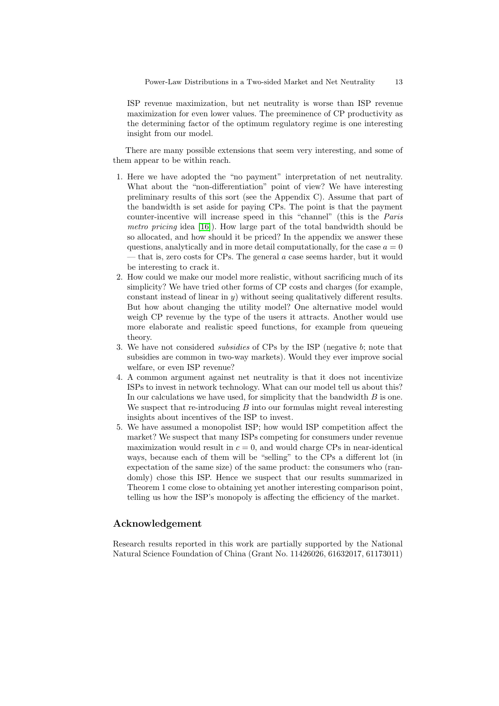ISP revenue maximization, but net neutrality is worse than ISP revenue maximization for even lower values. The preeminence of CP productivity as the determining factor of the optimum regulatory regime is one interesting insight from our model.

There are many possible extensions that seem very interesting, and some of them appear to be within reach.

- 1. Here we have adopted the "no payment" interpretation of net neutrality. What about the "non-differentiation" point of view? We have interesting preliminary results of this sort (see the Appendix C). Assume that part of the bandwidth is set aside for paying CPs. The point is that the payment counter-incentive will increase speed in this "channel" (this is the Paris metro pricing idea [\[16\]](#page-13-9)). How large part of the total bandwidth should be so allocated, and how should it be priced? In the appendix we answer these questions, analytically and in more detail computationally, for the case  $a = 0$ — that is, zero costs for CPs. The general  $a$  case seems harder, but it would be interesting to crack it.
- 2. How could we make our model more realistic, without sacrificing much of its simplicity? We have tried other forms of CP costs and charges (for example, constant instead of linear in  $y$ ) without seeing qualitatively different results. But how about changing the utility model? One alternative model would weigh CP revenue by the type of the users it attracts. Another would use more elaborate and realistic speed functions, for example from queueing theory.
- 3. We have not considered subsidies of CPs by the ISP (negative b; note that subsidies are common in two-way markets). Would they ever improve social welfare, or even ISP revenue?
- 4. A common argument against net neutrality is that it does not incentivize ISPs to invest in network technology. What can our model tell us about this? In our calculations we have used, for simplicity that the bandwidth  $B$  is one. We suspect that re-introducing  $B$  into our formulas might reveal interesting insights about incentives of the ISP to invest.
- 5. We have assumed a monopolist ISP; how would ISP competition affect the market? We suspect that many ISPs competing for consumers under revenue maximization would result in  $c = 0$ , and would charge CPs in near-identical ways, because each of them will be "selling" to the CPs a different lot (in expectation of the same size) of the same product: the consumers who (randomly) chose this ISP. Hence we suspect that our results summarized in Theorem 1 come close to obtaining yet another interesting comparison point, telling us how the ISP's monopoly is affecting the efficiency of the market.

#### Acknowledgement

Research results reported in this work are partially supported by the National Natural Science Foundation of China (Grant No. 11426026, 61632017, 61173011)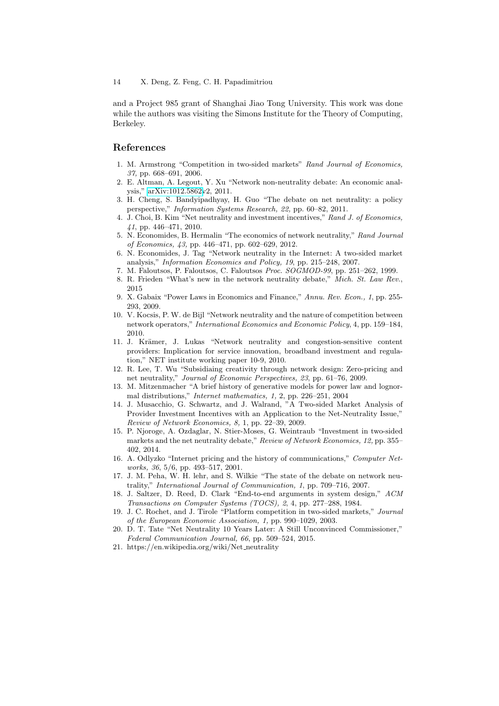and a Project 985 grant of Shanghai Jiao Tong University. This work was done while the authors was visiting the Simons Institute for the Theory of Computing, Berkeley.

#### References

- <span id="page-13-0"></span>1. M. Armstrong "Competition in two-sided markets" Rand Journal of Economics, 37, pp. 668–691, 2006.
- <span id="page-13-13"></span>2. E. Altman, A. Legout, Y. Xu "Network non-neutrality debate: An economic analysis," [arXiv:1012.5862v](http://arxiv.org/abs/1012.5862)2, 2011.
- <span id="page-13-17"></span>3. H. Cheng, S. Bandyipadhyay, H. Guo "The debate on net neutrality: a policy perspective," Information Systems Research, 22, pp. 60–82, 2011.
- <span id="page-13-18"></span>4. J. Choi, B. Kim "Net neutrality and investment incentives," Rand J. of Economics, 41, pp. 446–471, 2010.
- <span id="page-13-14"></span>5. N. Economides, B. Hermalin "The economics of network neutrality," Rand Journal of Economics, 43, pp. 446–471, pp. 602–629, 2012.
- <span id="page-13-15"></span>6. N. Economides, J. Tag "Network neutrality in the Internet: A two-sided market analysis," Information Economics and Policy, 19, pp. 215–248, 2007.
- <span id="page-13-6"></span>7. M. Faloutsos, P. Faloutsos, C. Faloutsos Proc. SOGMOD-99, pp. 251–262, 1999.
- <span id="page-13-3"></span>8. R. Frieden "What's new in the network neutrality debate," Mich. St. Law Rev., 2015
- <span id="page-13-8"></span>9. X. Gabaix "Power Laws in Economics and Finance," Annu. Rev. Econ., 1, pp. 255- 293, 2009.
- <span id="page-13-16"></span>10. V. Kocsis, P. W. de Bijl "Network neutrality and the nature of competition between network operators," International Economics and Economic Policy, 4, pp. 159–184, 2010.
- <span id="page-13-19"></span>11. J. Krämer, J. Lukas "Network neutrality and congestion-sensitive content providers: Implication for service innovation, broadband investment and regulation," NET institute working paper 10-9, 2010.
- <span id="page-13-12"></span>12. R. Lee, T. Wu "Subsidiaing creativity through network design: Zero-pricing and net neutrality," Journal of Economic Perspectives, 23, pp. 61–76, 2009.
- <span id="page-13-7"></span>13. M. Mitzenmacher "A brief history of generative models for power law and lognormal distributions," Internet mathematics, 1, 2, pp. 226–251, 2004
- <span id="page-13-5"></span>14. J. Musacchio, G. Schwartz, and J. Walrand, "A Two-sided Market Analysis of Provider Investment Incentives with an Application to the Net-Neutrality Issue," Review of Network Economics, 8, 1, pp. 22–39, 2009.
- <span id="page-13-20"></span>15. P. Njoroge, A. Ozdaglar, N. Stier-Moses, G. Weintraub "Investment in two-sided markets and the net neutrality debate," Review of Network Economics, 12, pp. 355– 402, 2014.
- <span id="page-13-9"></span>16. A. Odlyzko "Internet pricing and the history of communications," Computer Networks, 36, 5/6, pp. 493–517, 2001.
- <span id="page-13-10"></span>17. J. M. Peha, W. H. lehr, and S. Wilkie "The state of the debate on network neutrality," International Journal of Communication, 1, pp. 709–716, 2007.
- <span id="page-13-4"></span>18. J. Saltzer, D. Reed, D. Clark "End-to-end arguments in system design," ACM Transactions on Computer Systems (TOCS), 2, 4, pp. 277–288, 1984.
- <span id="page-13-1"></span>19. J. C. Rochet, and J. Tirole "Platform competition in two-sided markets," Journal of the European Economic Association, 1, pp. 990–1029, 2003.
- <span id="page-13-11"></span>20. D. T. Tate "Net Neutrality 10 Years Later: A Still Unconvinced Commissioner," Federal Communication Journal, 66, pp. 509–524, 2015.
- <span id="page-13-2"></span>21. https://en.wikipedia.org/wiki/Net neutrality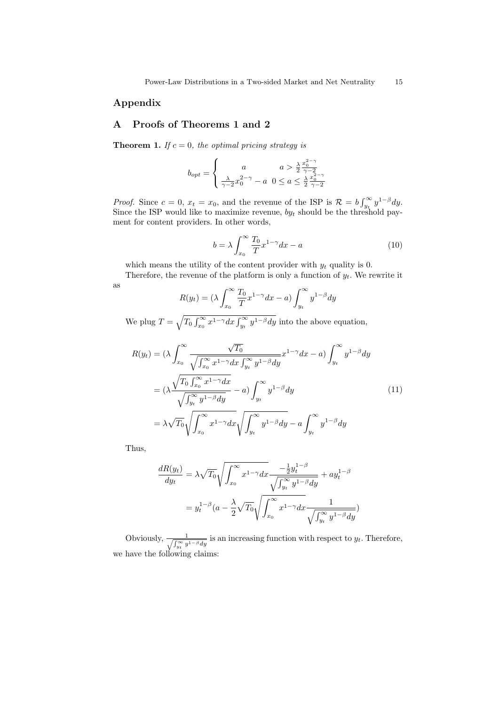#### Appendix

## <span id="page-14-0"></span>A Proofs of Theorems 1 and 2

**Theorem 1.** If  $c = 0$ , the optimal pricing strategy is

$$
b_{opt} = \begin{cases} a & a > \frac{\lambda}{2} \frac{x_0^{2-\gamma}}{\gamma - 2} \\ \frac{\lambda}{\gamma - 2} x_0^{2-\gamma} - a & 0 \le a \le \frac{\lambda}{2} \frac{x_0^{2-\gamma}}{\gamma - 2} \end{cases}
$$

*Proof.* Since  $c = 0$ ,  $x_t = x_0$ , and the revenue of the ISP is  $\mathcal{R} = b \int_{y_t}^{\infty} y^{1-\beta} dy$ . Since the ISP would like to maximize revenue,  $by_t$  should be the threshold payment for content providers. In other words,

<span id="page-14-1"></span>
$$
b = \lambda \int_{x_0}^{\infty} \frac{T_0}{T} x^{1-\gamma} dx - a \tag{10}
$$

which means the utility of the content provider with  $y_t$  quality is 0.

Therefore, the revenue of the platform is only a function of  $y_t$ . We rewrite it as

$$
R(y_t) = \left(\lambda \int_{x_0}^{\infty} \frac{T_0}{T} x^{1-\gamma} dx - a\right) \int_{y_t}^{\infty} y^{1-\beta} dy
$$

We plug  $T = \sqrt{T_0 \int_{x_0}^{\infty} x^{1-\gamma} dx \int_{y_t}^{\infty} y^{1-\beta} dy}$  into the above equation,

$$
R(y_t) = \left(\lambda \int_{x_0}^{\infty} \frac{\sqrt{T_0}}{\sqrt{\int_{x_0}^{\infty} x^{1-\gamma} dx \int_{y_t}^{\infty} y^{1-\beta} dy}} x^{1-\gamma} dx - a\right) \int_{y_t}^{\infty} y^{1-\beta} dy
$$

$$
= \left(\lambda \frac{\sqrt{T_0 \int_{x_0}^{\infty} x^{1-\gamma} dx}}{\sqrt{\int_{y_t}^{\infty} y^{1-\beta} dy}} - a\right) \int_{y_t}^{\infty} y^{1-\beta} dy
$$
(11)
$$
= \lambda \sqrt{T_0} \sqrt{\int_{x_0}^{\infty} x^{1-\gamma} dx} \sqrt{\int_{y_t}^{\infty} y^{1-\beta} dy} - a \int_{y_t}^{\infty} y^{1-\beta} dy
$$

Thus,

$$
\frac{dR(y_t)}{dy_t} = \lambda \sqrt{T_0} \sqrt{\int_{x_0}^{\infty} x^{1-\gamma} dx} \frac{-\frac{1}{2} y_t^{1-\beta}}{\sqrt{\int_{y_t}^{\infty} y^{1-\beta} dy}} + a y_t^{1-\beta}
$$

$$
= y_t^{1-\beta} (a - \frac{\lambda}{2} \sqrt{T_0} \sqrt{\int_{x_0}^{\infty} x^{1-\gamma} dx} \frac{1}{\sqrt{\int_{y_t}^{\infty} y^{1-\beta} dy}})
$$

Obviously,  $\frac{1}{\sqrt{1-\frac{1}{n}}}$  $\frac{1}{\int_{y_t}^{\infty} y^{1-\beta}dy}$  is an increasing function with respect to  $y_t$ . Therefore, we have the following claims: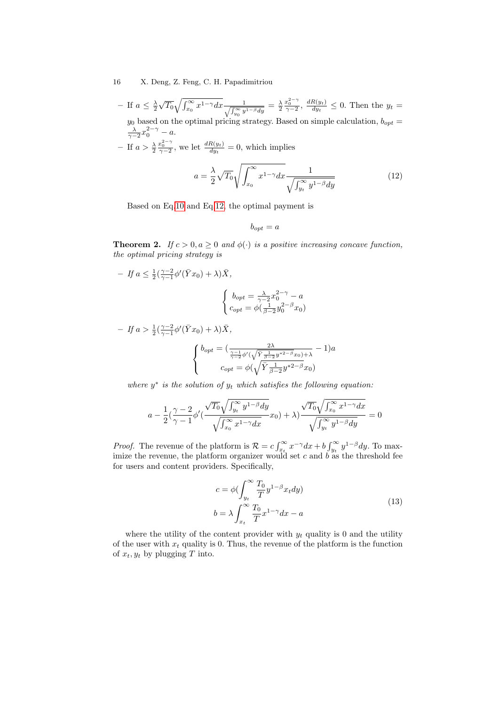– If  $a \leq \frac{\lambda}{2}$  $\sqrt{T_0}\sqrt{\int_{x_0}^{\infty}x^{1-\gamma}dx}\frac{1}{\sqrt{\int_{x_0}^{\infty}y}}$  $\frac{1}{\int_{y_0}^{\infty}y^{1-\beta}dy}=\frac{\lambda}{2}$  $rac{x_0^{2-\gamma}}{\gamma-2}, \frac{dR(y_t)}{dy_t}$  $\frac{dR(y_t)}{dy_t} \leq 0$ . Then the  $y_t =$  $y_0$  based on the optimal pricing strategy. Based on simple calculation,  $b_{opt} = \frac{\lambda}{\gamma - 2} x_0^{2-\gamma} - a$ .

 $-$  If  $a > \frac{\lambda}{2}$  $\frac{x_0^{2-\gamma}}{\gamma-2}$ , we let  $\frac{dR(y_t)}{dy_t} = 0$ , which implies

<span id="page-15-0"></span>
$$
a = \frac{\lambda}{2} \sqrt{T_0} \sqrt{\int_{x_0}^{\infty} x^{1-\gamma} dx} \frac{1}{\sqrt{\int_{y_t}^{\infty} y^{1-\beta} dy}} \tag{12}
$$

Based on Eq[.10](#page-14-1) and Eq[.12,](#page-15-0) the optimal payment is

$$
b_{opt} = a
$$

**Theorem 2.** If  $c > 0, a \geq 0$  and  $\phi(\cdot)$  is a positive increasing concave function, the optimal pricing strategy is

 $-If a \leq \frac{1}{2}(\frac{\gamma-2}{\gamma-1}\phi'(\bar{Y}x_0)+\lambda)\bar{X},$  $\int b_{opt} = \frac{\lambda}{\gamma - 2} x_0^{2 - \gamma} - a$  $c_{opt} = \phi(\frac{1}{\beta - 2}y_0^{2-\beta}x_0)$ - If  $a > \frac{1}{2} \left( \frac{\gamma - 2}{\gamma - 1} \phi'(\bar{Y}x_0) + \lambda \right) \bar{X}$ ,  $\sqrt{ }$  $\frac{1}{2}$  $\mathcal{L}$  $b_{opt} = (\frac{2\lambda}{\frac{\gamma-1}{\gamma-2}\phi'(\sqrt{\bar{Y}}\frac{1}{\beta-2}y^{*2-\beta}x_0)+\lambda} - 1)a$  $c_{opt} = \phi(\sqrt{\bar{Y}} \frac{1}{\beta - 2} y^{*2 - \beta} x_0)$ 

where  $y^*$  is the solution of  $y_t$  which satisfies the following equation:

$$
a - \frac{1}{2} \left(\frac{\gamma - 2}{\gamma - 1} \phi' \left( \frac{\sqrt{T_0} \sqrt{\int_{y_t}^{\infty} y^{1 - \beta} dy}}{\sqrt{\int_{x_0}^{\infty} x^{1 - \gamma} dx}} x_0 \right) + \lambda \right) \frac{\sqrt{T_0} \sqrt{\int_{x_0}^{\infty} x^{1 - \gamma} dx}}{\sqrt{\int_{y_t}^{\infty} y^{1 - \beta} dy}} = 0
$$

*Proof.* The revenue of the platform is  $\mathcal{R} = c \int_{x_t}^{\infty} x^{-\gamma} dx + b \int_{y_t}^{\infty} y^{1-\beta} dy$ . To maximize the revenue, the platform organizer would set c and b as the threshold fee for users and content providers. Specifically,

$$
c = \phi \left( \int_{y_t}^{\infty} \frac{T_0}{T} y^{1-\beta} x_t dy \right)
$$
  

$$
b = \lambda \int_{x_t}^{\infty} \frac{T_0}{T} x^{1-\gamma} dx - a
$$
 (13)

where the utility of the content provider with  $y_t$  quality is 0 and the utility of the user with  $x_t$  quality is 0. Thus, the revenue of the platform is the function of  $x_t, y_t$  by plugging T into.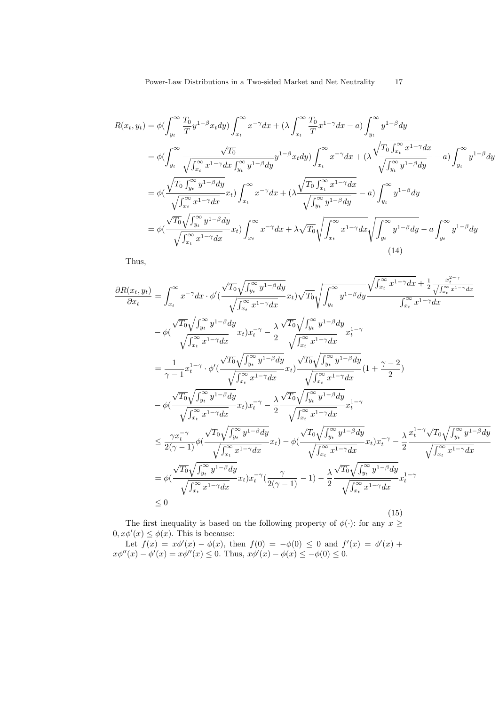Power-Law Distributions in a Two-sided Market and Net Neutrality 17

$$
R(x_t, y_t) = \phi \left( \int_{y_t}^{\infty} \frac{T_0}{T} y^{1-\beta} x_t dy \right) \int_{x_t}^{\infty} x^{-\gamma} dx + \left( \lambda \int_{x_t}^{\infty} \frac{T_0}{T} x^{1-\gamma} dx - a \right) \int_{y_t}^{\infty} y^{1-\beta} dy
$$
  
\n
$$
= \phi \left( \int_{y_t}^{\infty} \frac{\sqrt{T_0}}{\sqrt{\int_{x_t}^{\infty} x^{1-\gamma} dx \int_{y_t}^{\infty} y^{1-\beta} dy}} y^{1-\beta} x_t dy \right) \int_{x_t}^{\infty} x^{-\gamma} dx + \left( \lambda \frac{\sqrt{T_0 \int_{x_t}^{\infty} x^{1-\gamma} dx}}{\sqrt{\int_{y_t}^{\infty} y^{1-\beta} dy}} - a \right) \int_{y_t}^{\infty} y^{1-\beta} dy
$$
  
\n
$$
= \phi \left( \frac{\sqrt{T_0 \int_{y_t}^{\infty} y^{1-\beta} dy}}{\sqrt{\int_{x_t}^{\infty} x^{1-\gamma} dx}} x_t \right) \int_{x_t}^{\infty} x^{-\gamma} dx + \left( \lambda \frac{\sqrt{T_0 \int_{x_t}^{\infty} x^{1-\gamma} dx}}{\sqrt{\int_{y_t}^{\infty} y^{1-\beta} dy}} - a \right) \int_{y_t}^{\infty} y^{1-\beta} dy
$$
  
\n
$$
= \phi \left( \frac{\sqrt{T_0} \sqrt{\int_{y_t}^{\infty} y^{1-\beta} dy}}{\sqrt{\int_{x_t}^{\infty} x^{1-\gamma} dx}} x_t \right) \int_{x_t}^{\infty} x^{-\gamma} dx + \lambda \sqrt{T_0} \sqrt{\int_{x_t}^{\infty} x^{1-\gamma} dx} \sqrt{\int_{y_t}^{\infty} y^{1-\beta} dy} - a \int_{y_t}^{\infty} y^{1-\beta} dy
$$
  
\n(14)

Thus,

<span id="page-16-0"></span>
$$
\frac{\partial R(x_t, y_t)}{\partial x_t} = \int_{x_t}^{\infty} x^{-\gamma} dx \cdot \phi'(\frac{\sqrt{T_0} \sqrt{\int_{y_t}^{\infty} y^{1-\beta} dy}}{\sqrt{\int_{x_t}^{\infty} x^{1-\gamma} dx}} x_t) \sqrt{T_0} \sqrt{\int_{y_t}^{\infty} y^{1-\beta} dy} \frac{\sqrt{\int_{x_t}^{\infty} x^{1-\gamma} dx}}{\int_{x_t}^{\infty} x^{1-\gamma} dx}
$$
\n
$$
- \phi(\frac{\sqrt{T_0} \sqrt{\int_{y_t}^{\infty} y^{1-\beta} dy}}{\sqrt{\int_{x_t}^{\infty} x^{1-\gamma} dx}} x_t) x_t^{-\gamma} - \frac{\lambda}{2} \frac{\sqrt{T_0} \sqrt{\int_{y_t}^{\infty} y^{1-\beta} dy}}{\sqrt{\int_{x_t}^{\infty} x^{1-\gamma} dx}} x_t^{1-\gamma}
$$
\n
$$
= \frac{1}{\gamma - 1} x_t^{1-\gamma} \cdot \phi'(\frac{\sqrt{T_0} \sqrt{\int_{y_t}^{\infty} y^{1-\beta} dy}}{\sqrt{\int_{x_t}^{\infty} x^{1-\gamma} dx}} x_t) \frac{\sqrt{T_0} \sqrt{\int_{y_t}^{\infty} y^{1-\beta} dy}}{\sqrt{\int_{x_t}^{\infty} x^{1-\gamma} dx}} (1 + \frac{\gamma - 2}{2})
$$
\n
$$
- \phi(\frac{\sqrt{T_0} \sqrt{\int_{y_t}^{\infty} y^{1-\beta} dy}}{\sqrt{\int_{x_t}^{\infty} x^{1-\gamma} dx}} x_t) x_t^{-\gamma} - \frac{\lambda}{2} \frac{\sqrt{T_0} \sqrt{\int_{y_t}^{\infty} y^{1-\beta} dy}}{\sqrt{\int_{x_t}^{\infty} x^{1-\gamma} dx}} x_t^{1-\gamma}
$$
\n
$$
\leq \frac{\gamma x_t^{-\gamma}}{2(\gamma - 1)} \phi(\frac{\sqrt{T_0} \sqrt{\int_{y_t}^{\infty} y^{1-\beta} dy}}{\sqrt{\int_{x_t}^{\infty} x^{1-\gamma} dx}} x_t) - \phi(\frac{\sqrt{T_0} \sqrt{\int_{y_t}^{\infty} y^{1-\beta} dy}}{\sqrt{\int_{x_t}^{\infty} x^{1-\gamma} dx}} x_t) x_t^{-\gamma} - \frac{\lambda}{2} \frac{x_t^{1-\gamma} \sqrt{T_0} \sqrt{\int_{y_t}
$$

The first inequality is based on the following property of  $\phi(\cdot)$ : for any  $x \geq$  $0, x\phi'(x) \leq \phi(x)$ . This is because:

Let  $f(x) = x\phi'(x) - \phi(x)$ , then  $f(0) = -\phi(0) \leq 0$  and  $f'(x) = \phi'(x) +$  $x\phi''(x) - \phi'(x) = x\phi''(x) \le 0$ . Thus,  $x\phi'(x) - \phi(x) \le -\phi(0) \le 0$ .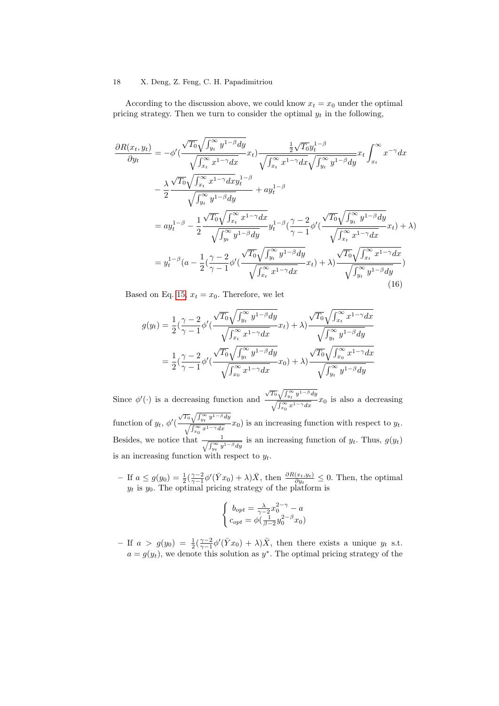According to the discussion above, we could know  $x_t = x_0$  under the optimal pricing strategy. Then we turn to consider the optimal  $y_t$  in the following,

$$
\frac{\partial R(x_t, y_t)}{\partial y_t} = -\phi' \left( \frac{\sqrt{T_0} \sqrt{\int_{y_t}^{\infty} y^{1-\beta} dy}}{\sqrt{\int_{x_t}^{\infty} x^{1-\gamma} dx}} x_t \right) \frac{\frac{1}{2} \sqrt{T_0} y_t^{1-\beta}}{\sqrt{\int_{y_t}^{\infty} y^{1-\beta} dy}} x_t \int_{x_t}^{\infty} x^{-\gamma} dx
$$

$$
- \frac{\lambda}{2} \frac{\sqrt{T_0} \sqrt{\int_{x_t}^{\infty} x^{1-\gamma} dx y_t^{1-\beta}}}{\sqrt{\int_{y_t}^{\infty} y^{1-\beta} dy}} + ay_t^{1-\beta}
$$

$$
= ay_t^{1-\beta} - \frac{1}{2} \frac{\sqrt{T_0} \sqrt{\int_{x_t}^{\infty} x^{1-\gamma} dx}}{\sqrt{\int_{y_t}^{\infty} y^{1-\beta} dy}} y_t^{1-\beta} \left( \frac{\gamma - 2}{\gamma - 1} \phi' \left( \frac{\sqrt{T_0} \sqrt{\int_{y_t}^{\infty} y^{1-\beta} dy}}{\sqrt{\int_{x_t}^{\infty} x^{1-\gamma} dx}} x_t \right) + \lambda \right)
$$

$$
= y_t^{1-\beta} \left( a - \frac{1}{2} \left( \frac{\gamma - 2}{\gamma - 1} \phi' \left( \frac{\sqrt{T_0} \sqrt{\int_{y_t}^{\infty} y^{1-\beta} dy}}{\sqrt{\int_{x_t}^{\infty} x^{1-\gamma} dx}} x_t \right) + \lambda \right) \frac{\sqrt{T_0} \sqrt{\int_{x_t}^{\infty} x^{1-\gamma} dx}}{\sqrt{\int_{y_t}^{\infty} y^{1-\beta} dy}} \right)
$$
(16)

Based on Eq. [15,](#page-16-0)  $x_t = x_0$ . Therefore, we let

$$
g(y_t) = \frac{1}{2} \left(\frac{\gamma - 2}{\gamma - 1} \phi' \left(\frac{\sqrt{T_0} \sqrt{\int_{y_t}^{\infty} y^{1 - \beta} dy}}{\sqrt{\int_{x_t}^{\infty} x^{1 - \gamma} dx}} x_t\right) + \lambda \right) \frac{\sqrt{T_0} \sqrt{\int_{x_t}^{\infty} x^{1 - \gamma} dx}}{\sqrt{\int_{y_t}^{\infty} y^{1 - \beta} dy}} = \frac{1}{2} \left(\frac{\gamma - 2}{\gamma - 1} \phi' \left(\frac{\sqrt{T_0} \sqrt{\int_{y_t}^{\infty} y^{1 - \beta} dy}}{\sqrt{\int_{x_0}^{\infty} x^{1 - \gamma} dx}} x_0\right) + \lambda \right) \frac{\sqrt{T_0} \sqrt{\int_{x_0}^{\infty} x^{1 - \gamma} dx}}{\sqrt{\int_{y_t}^{\infty} y^{1 - \beta} dy}}.
$$

Since  $\phi'(\cdot)$  is a decreasing function and  $\sqrt{T_0} \sqrt{\int_{y_t}^{\infty} y^{1-\beta} dy}$  $\frac{\sqrt{y}^{3} y_t}{\sqrt{\int_{x_0}^{\infty} x^{1-\gamma} dx}} x_0$  is also a decreasing function of  $y_t$ ,  $\phi'$  $\sqrt{T_0} \sqrt{\int_{y_t}^{\infty} y^{1-\beta} dy}$  $\frac{\sqrt{y+y_t}}{\sqrt{\int_{x_0}^{\infty} x^{1-\gamma} dx}} x_0$ ) is an increasing function with respect to  $y_t$ . Besides, we notice that  $\frac{1}{\sqrt{c^{\infty}u}}$  $\frac{1}{\int_{y_t}^{\infty} y^{1-\beta} dy}$  is an increasing function of  $y_t$ . Thus,  $g(y_t)$ is an increasing function with respect to  $y_t$ .

 $-I$  if  $a \le g(y_0) = \frac{1}{2}(\frac{\gamma-2}{\gamma-1}\phi'(\bar{Y}x_0)+\lambda)\bar{X}$ , then  $\frac{\partial R(x_t, y_t)}{\partial y_t} \le 0$ . Then, the optimal  $y_t$  is  $y_0$ . The optimal pricing strategy of the platform is

$$
\begin{cases} b_{opt} = \frac{\lambda}{\gamma - 2} x_0^{2 - \gamma} - a \\ c_{opt} = \phi \left( \frac{1}{\beta - 2} y_0^{2 - \beta} x_0 \right) \end{cases}
$$

- If  $a > g(y_0) = \frac{1}{2}(\frac{\gamma-2}{\gamma-1}\phi'(\bar{Y}x_0) + \lambda)\bar{X}$ , then there exists a unique  $y_t$  s.t.  $a = g(y_t)$ , we denote this solution as  $y^*$ . The optimal pricing strategy of the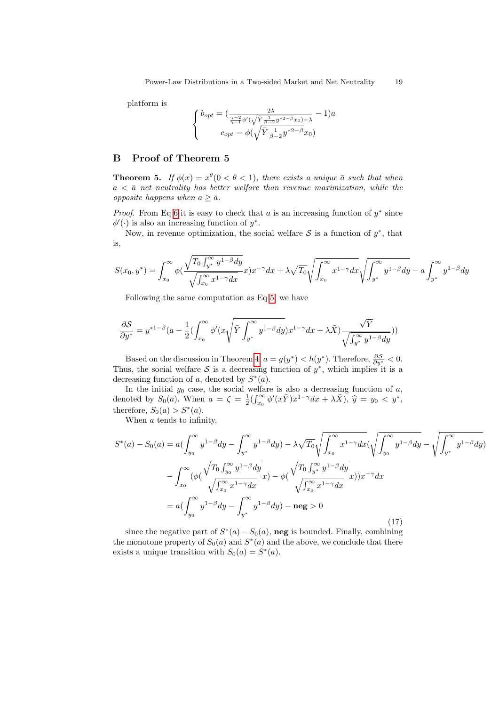platform is

$$
\begin{cases} b_{opt} = \left(\frac{2\lambda}{\frac{\gamma - 2}{\gamma - 1}\phi'(\sqrt{\overline{Y} \frac{1}{\beta - 2} y^{*2 - \beta} x_0}) + \lambda} - 1\right) a \\ c_{opt} = \phi(\sqrt{\overline{Y} \frac{1}{\beta - 2} y^{*2 - \beta} x_0}) \end{cases}
$$

#### B Proof of Theorem 5

**Theorem 5.** If  $\phi(x) = x^{\theta}(0 < \theta < 1)$ , there exists a unique  $\bar{a}$  such that when  $a < \bar{a}$  net neutrality has better welfare than revenue maximization, while the opposite happens when  $a > \bar{a}$ .

*Proof.* From Eq [6](#page-9-0) it is easy to check that a is an increasing function of  $y^*$  since  $\phi'(\cdot)$  is also an increasing function of  $y^*$ .

Now, in revenue optimization, the social welfare  $S$  is a function of  $y^*$ , that is,

$$
S(x_0, y^*) = \int_{x_0}^{\infty} \phi(\frac{\sqrt{T_0 \int_{y^*}^{\infty} y^{1-\beta} dy}}{\sqrt{\int_{x_0}^{\infty} x^{1-\gamma} dx}} x) x^{-\gamma} dx + \lambda \sqrt{T_0} \sqrt{\int_{x_0}^{\infty} x^{1-\gamma} dx} \sqrt{\int_{y^*}^{\infty} y^{1-\beta} dy} - a \int_{y^*}^{\infty} y^{1-\beta} dy
$$

Following the same computation as Eq [5,](#page-8-0) we have

$$
\frac{\partial \mathcal{S}}{\partial y^*} = y^{*1-\beta} \left(a - \frac{1}{2} \left(\int_{x_0}^{\infty} \phi'(x\sqrt{\bar{Y}} \int_{y^*}^{\infty} y^{1-\beta} dy\right) x^{1-\gamma} dx + \lambda \bar{X}\right) \frac{\sqrt{\bar{Y}}}{\sqrt{\int_{y^*}^{\infty} y^{1-\beta} dy}}\right)
$$

Based on the discussion in Theorem [4,](#page-9-1)  $a = g(y^*) < h(y^*)$ . Therefore,  $\frac{\partial S}{\partial y^*} < 0$ . Thus, the social welfare S is a decreasing function of  $y^*$ , which implies it is a decreasing function of a, denoted by  $S^*(a)$ .

In the initial  $y_0$  case, the social welfare is also a decreasing function of  $a$ , denoted by  $S_0(a)$ . When  $a = \zeta = \frac{1}{2} \left( \int_{x_0}^{\infty} \phi'(x \overline{Y}) x^{1-\gamma} dx + \lambda \overline{X} \right)$ ,  $\hat{y} = y_0 < y^*$ , therefore,  $S_0(a) > S^*(a)$ .

When a tends to infinity,

$$
S^*(a) - S_0(a) = a \left( \int_{y_0}^{\infty} y^{1-\beta} dy - \int_{y^*}^{\infty} y^{1-\beta} dy \right) - \lambda \sqrt{T_0} \sqrt{\int_{x_0}^{\infty} x^{1-\gamma} dx} \left( \sqrt{\int_{y_0}^{\infty} y^{1-\beta} dy} - \sqrt{\int_{y^*}^{\infty} y^{1-\beta} dy} \right)
$$

$$
- \int_{x_0}^{\infty} (\phi \left( \frac{\sqrt{T_0 \int_{y_0}^{\infty} y^{1-\beta} dy}}{\sqrt{\int_{x_0}^{\infty} x^{1-\gamma} dx}} x \right) - \phi \left( \frac{\sqrt{T_0 \int_{y^*}^{\infty} y^{1-\beta} dy}}{\sqrt{\int_{x_0}^{\infty} x^{1-\gamma} dx}} x \right) x^{-\gamma} dx
$$

$$
= a \left( \int_{y_0}^{\infty} y^{1-\beta} dy - \int_{y^*}^{\infty} y^{1-\beta} dy \right) - \text{neg } > 0
$$
(17)

since the negative part of  $S^*(a) - S_0(a)$ , neg is bounded. Finally, combining the monotone property of  $S_0(a)$  and  $S^*(a)$  and the above, we conclude that there exists a unique transition with  $S_0(a) = S^*(a)$ .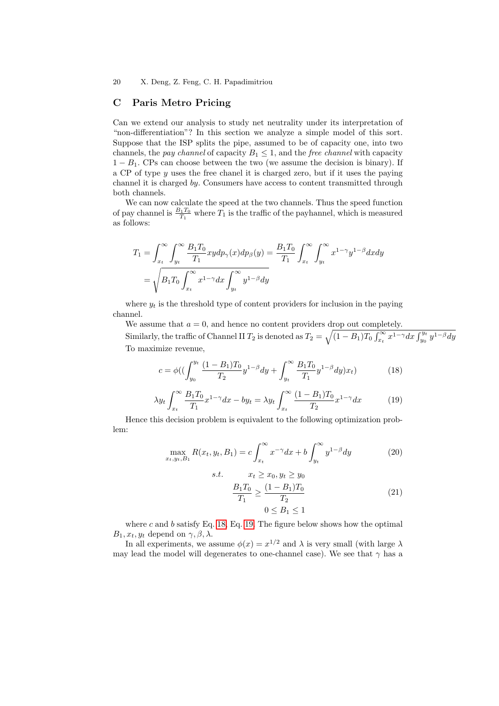#### C Paris Metro Pricing

Can we extend our analysis to study net neutrality under its interpretation of "non-differentiation"? In this section we analyze a simple model of this sort. Suppose that the ISP splits the pipe, assumed to be of capacity one, into two channels, the pay channel of capacity  $B_1 \leq 1$ , and the free channel with capacity  $1 - B_1$ . CPs can choose between the two (we assume the decision is binary). If a CP of type  $y$  uses the free chanel it is charged zero, but if it uses the paying channel it is charged by. Consumers have access to content transmitted through both channels.

We can now calculate the speed at the two channels. Thus the speed function of pay channel is  $\frac{B_1 T_0}{T_1}$  where  $T_1$  is the traffic of the payhannel, which is measured as follows:

$$
T_1 = \int_{x_t}^{\infty} \int_{y_t}^{\infty} \frac{B_1 T_0}{T_1} xy dp_{\gamma}(x) dp_{\beta}(y) = \frac{B_1 T_0}{T_1} \int_{x_t}^{\infty} \int_{y_t}^{\infty} x^{1-\gamma} y^{1-\beta} dx dy
$$
  
=  $\sqrt{B_1 T_0 \int_{x_t}^{\infty} x^{1-\gamma} dx \int_{y_t}^{\infty} y^{1-\beta} dy}$ 

where  $y_t$  is the threshold type of content providers for inclusion in the paying channel.

We assume that  $a = 0$ , and hence no content providers drop out completely.

Similarly, the traffic of Channel II  $T_2$  is denoted as  $T_2 = \sqrt{(1 - B_1)T_0 \int_{x_t}^{\infty} x^{1 - \gamma} dx \int_{y_0}^{y_t} y^{1 - \beta} dy}$ To maximize revenue,

<span id="page-19-0"></span>
$$
c = \phi\left(\left(\int_{y_0}^{y_t} \frac{(1 - B_1)T_0}{T_2} y^{1 - \beta} dy + \int_{y_t}^{\infty} \frac{B_1 T_0}{T_1} y^{1 - \beta} dy\right) x_t\right) \tag{18}
$$

<span id="page-19-1"></span>
$$
\lambda y_t \int_{x_t}^{\infty} \frac{B_1 T_0}{T_1} x^{1-\gamma} dx - b y_t = \lambda y_t \int_{x_t}^{\infty} \frac{(1 - B_1) T_0}{T_2} x^{1-\gamma} dx \tag{19}
$$

Hence this decision problem is equivalent to the following optimization problem:

$$
\max_{x_t, y_t, B_1} R(x_t, y_t, B_1) = c \int_{x_t}^{\infty} x^{-\gamma} dx + b \int_{y_t}^{\infty} y^{1-\beta} dy \tag{20}
$$

s.t. 
$$
x_t \ge x_0, y_t \ge y_0
$$
  
\n
$$
\frac{B_1 T_0}{T_1} \ge \frac{(1 - B_1) T_0}{T_2}
$$
\n
$$
0 \le B_1 \le 1
$$
\n(21)

where  $c$  and  $b$  satisfy Eq. [18,](#page-19-0) Eq. [19.](#page-19-1) The figure below shows how the optimal  $B_1, x_t, y_t$  depend on  $\gamma, \beta, \lambda$ .

In all experiments, we assume  $\phi(x) = x^{1/2}$  and  $\lambda$  is very small (with large  $\lambda$ may lead the model will degenerates to one-channel case). We see that  $\gamma$  has a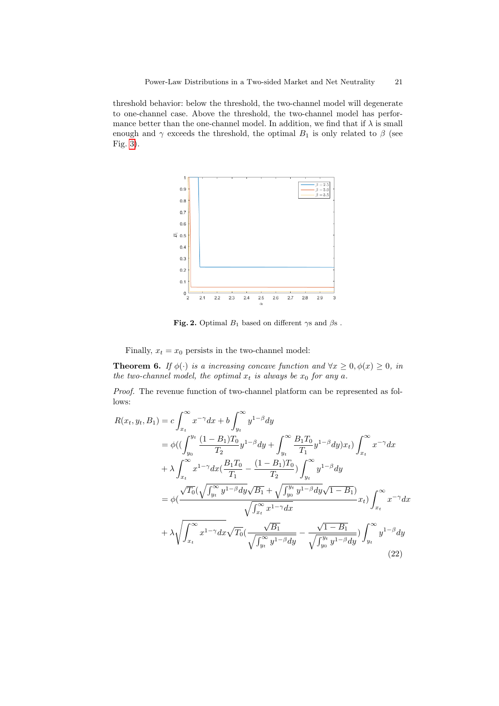threshold behavior: below the threshold, the two-channel model will degenerate to one-channel case. Above the threshold, the two-channel model has performance better than the one-channel model. In addition, we find that if  $\lambda$  is small enough and  $\gamma$  exceeds the threshold, the optimal  $B_1$  is only related to  $\beta$  (see Fig. [3\)](#page-21-0).



Fig. 2. Optimal  $B_1$  based on different  $\gamma$ s and  $\beta$ s.

Finally,  $x_t = x_0$  persists in the two-channel model:

**Theorem 6.** If  $\phi(\cdot)$  is a increasing concave function and  $\forall x \geq 0, \phi(x) \geq 0$ , in the two-channel model, the optimal  $x_t$  is always be  $x_0$  for any  $a$ .

Proof. The revenue function of two-channel platform can be represented as follows:

$$
R(x_t, y_t, B_1) = c \int_{x_t}^{\infty} x^{-\gamma} dx + b \int_{y_t}^{\infty} y^{1-\beta} dy
$$
  
\n
$$
= \phi \left( \int_{y_0}^{y_t} \frac{(1 - B_1)T_0}{T_2} y^{1-\beta} dy + \int_{y_t}^{\infty} \frac{B_1 T_0}{T_1} y^{1-\beta} dy \right) x_t \int_{x_t}^{\infty} x^{-\gamma} dx
$$
  
\n
$$
+ \lambda \int_{x_t}^{\infty} x^{1-\gamma} dx \left( \frac{B_1 T_0}{T_1} - \frac{(1 - B_1)T_0}{T_2} \right) \int_{y_t}^{\infty} y^{1-\beta} dy
$$
  
\n
$$
= \phi \left( \frac{\sqrt{T_0} (\sqrt{\int_{y_t}^{\infty} y^{1-\beta} dy} \sqrt{B_1} + \sqrt{\int_{y_0}^{y_t} y^{1-\beta} dy} \sqrt{1 - B_1})}{\sqrt{\int_{x_t}^{\infty} x^{1-\gamma} dx}} x_t \right) \int_{x_t}^{\infty} x^{-\gamma} dx
$$
  
\n
$$
+ \lambda \sqrt{\int_{x_t}^{\infty} x^{1-\gamma} dx} \sqrt{T_0} \left( \frac{\sqrt{B_1}}{\sqrt{\int_{y_t}^{\infty} y^{1-\beta} dy}} - \frac{\sqrt{1 - B_1}}{\sqrt{\int_{y_0}^{y_t} y^{1-\beta} dy}} \right) \int_{y_t}^{\infty} y^{1-\beta} dy
$$
  
\n(22)